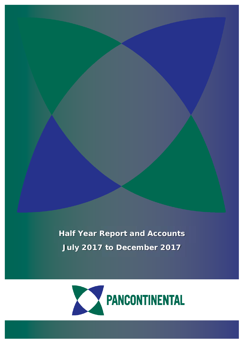**Half Year Report and Accounts July 2017 to December 2017**



1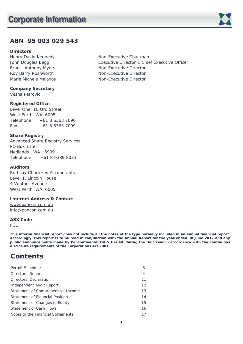## **ABN 95 003 029 543**

## **Directors**

Henry David Kennedy Non-Executive Chairman Ernest Anthony Myers Non-Executive Director Roy Barry Rushworth Non-Executive Director Marie Michele Malaxos Non-Executive Director

**Company Secretary** 

Vesna Petrovic

## **Registered Office**

Level One, 10 Ord Street West Perth WA 6005 Telephone: +61 8 6363 7090 Fax: +61 8 6363 7099

## **Share Registry**

Advanced Share Registry Services PO Box 1156 Nedlands WA 6909 Telephone: +61 8 9389 8033

## **Auditors**

Rothsay Chartered Accountants Level 1, Lincoln House 4 Ventnor Avenue West Perth WA 6005

## **Internet Address & Contact**

www.pancon.com.au info@pancon.com.au

## **ASX Code**

PCL

**This interim financial report does not include all the notes of the type normally included in an annual financial report. Accordingly, this report is to be read in conjunction with the Annual Report for the year ended 30 June 2017 and any public announcements made by Pancontinental Oil & Gas NL during the Half Year in accordance with the continuous disclosure requirements of the Corporations Act 2001.** 

# **Contents**

| Permit Schedule                   | 3  |
|-----------------------------------|----|
| Directors' Report                 | 4  |
| Directors' Declaration            | 11 |
| Independent Audit Report          | 12 |
| Statement of Comprehensive Income | 13 |
| Statement of Financial Position   | 14 |
| Statement of Changes in Equity    | 15 |
| <b>Statement of Cash Flows</b>    | 16 |
| Notes to the Financial Statements | 17 |

John Douglas Begg **Executive Director & Chief Executive Officer** 



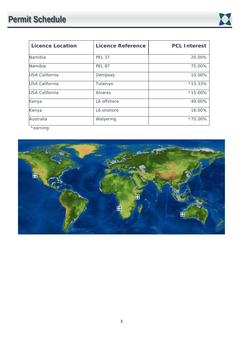

| <b>Licence Location</b> | <b>Licence Reference</b> | <b>PCL Interest</b> |
|-------------------------|--------------------------|---------------------|
| Namibia                 | <b>PEL 37</b>            | 20.00%              |
| Namibia                 | <b>PEL 87</b>            | 75.00%              |
| <b>USA California</b>   | Dempsey                  | 10.00%              |
| <b>USA California</b>   | Tulainyo                 | $*13.33\%$          |
| <b>USA California</b>   | Alvares                  | $*15.00\%$          |
| Kenya                   | L6 offshore              | 40.00%              |
| Kenya                   | L6 onshore               | 16.00%              |
| Australia               | Walyering                | *70.00%             |

\*earning

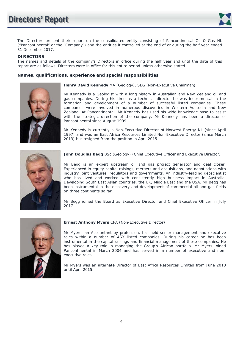

The Directors present their report on the consolidated entity consisting of Pancontinental Oil & Gas NL ("Pancontinental" or the "Company") and the entities it controlled at the end of or during the half year ended 31 December 2017.

**DIRECTORS** The names and details of the company's Directors in office during the half year and until the date of this report are as follows. Directors were in office for this entire period unless otherwise stated.

## **Names, qualifications, experience and special responsibilities**



**Henry David Kennedy** MA (Geology), SEG (Non-Executive Chairman)

Mr Kennedy is a Geologist with a long history in Australian and New Zealand oil and gas companies. During his time as a technical director he was instrumental in the formation and development of a number of successful listed companies. These companies were involved in numerous discoveries in Western Australia and New Zealand. At Pancontinental, Mr Kennedy has used his wide knowledge base to assist with the strategic direction of the company. Mr Kennedy has been a director of Pancontinental since August 1999.

Mr Kennedy is currently a Non-Executive Director of Norwest Energy NL (since April 1997) and was an East Africa Resources Limited Non-Executive Director (since March 2013) but resigned from the position in April 2015.



**John Douglas Begg** BSc (Geology) (Chief Executive Officer and Executive Director)

Mr Begg is an expert upstream oil and gas project generator and deal closer. Experienced in equity capital raisings, mergers and acquisitions, and negotiations with industry joint ventures, regulators and governments. An industry-leading geoscientist who has lived and worked with consistently high business impact in Australia, Developing South East Asian countries, the UK, Middle East and the USA. Mr Begg has been instrumental in the discovery and development of commercial oil and gas fields on three continents so far.

Mr Begg joined the Board as Executive Director and Chief Executive Officer in July 2017.



#### **Ernest Anthony Myers** CPA (Non-Executive Director)

Mr Myers, an Accountant by profession, has held senior management and executive roles within a number of ASX listed companies. During his career he has been instrumental in the capital raisings and financial management of these companies. He has played a key role in managing the Group's African portfolio. Mr Myers joined Pancontinental in March 2004 and has served in a number of executive and nonexecutive roles.

Mr Myers was an alternate Director of East Africa Resources Limited from June 2010 until April 2015.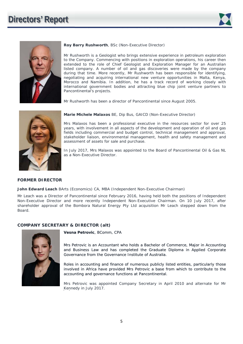



#### **Roy Barry Rushworth**, BSc (Non-Executive Director)

Mr Rushworth is a Geologist who brings extensive experience in petroleum exploration to the Company. Commencing with positions in exploration operations, his career then extended to the role of Chief Geologist and Exploration Manager for an Australian listed company. A number of oil and gas discoveries were made by the company during that time. More recently, Mr Rushworth has been responsible for identifying, negotiating and acquiring international new venture opportunities in Malta, Kenya, Morocco and Namibia. In addition, he has a track record of working closely with international government bodies and attracting blue chip joint venture partners to Pancontinental's projects.

Mr Rushworth has been a director of Pancontinental since August 2005.



**Marie Michele Malaxos** BE, Dip Bus, GAICD (Non-Executive Director)

Mrs Malaxos has been a professional executive in the resources sector for over 25 years, with involvement in all aspects of the development and operation of oil and gas fields including commercial and budget control, technical management and approval, stakeholder liaison, environmental management, health and safety management and assessment of assets for sale and purchase.

In July 2017, Mrs Malaxos was appointed to the Board of Pancontinental Oil & Gas NL as a Non-Executive Director.

## **FORMER DIRECTOR**

**John Edward Leach** BArts (Economics) CA, MBA (Independent Non-Executive Chairman)

Mr Leach was a Director of Pancontinental since February 2016, having held both the positions of Independent Non-Executive Director and more recently Independent Non-Executive Chairman. On 10 July 2017, after shareholder approval of the Bombora Natural Energy Pty Ltd acquisition Mr Leach stepped down from the Board.

## **COMPANY SECRETARY & DIRECTOR (alt)**



**Vesna Petrovic**, BComm, CPA

Mrs Petrovic is an Accountant who holds a Bachelor of Commerce, Major in Accounting Accounting and Business Law and has completed the Graduate Diploma in Applied Corporate Governance from the Governance Institute of Australia.

Roles in accounting and finance of numerous publicly listed entities, particularly those involved in Africa have provided Mrs Petrovic a base from which to contribute to the accounting and governance functions at Pancontinental.

Mrs Petrovic was appointed Company Secretary in April 2010 and alternate for Mr<br>Kennedy in July 2017. Kennedy in July 2017.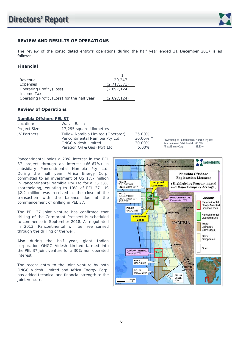

## **REVIEW AND RESULTS OF OPERATIONS**

The review of the consolidated entity's operations during the half year ended 31 December 2017 is as follows:

## **Financial**

| Revenue                                    | 20,247      |
|--------------------------------------------|-------------|
| Expenses                                   | (2,717,371) |
| Operating Profit /(Loss)                   | (2,697,124) |
| Income Tax                                 |             |
| Operating Profit /(Loss) for the half year | (2,697,124) |
|                                            |             |

## **Review of Operations**

#### **Namibia Offshore PEL 37**

| Location:     | Walvis Basin                                                                                                                     |                                          |                                                                                                                       |
|---------------|----------------------------------------------------------------------------------------------------------------------------------|------------------------------------------|-----------------------------------------------------------------------------------------------------------------------|
| Project Size: | 17,295 square kilometres                                                                                                         |                                          |                                                                                                                       |
| JV Partners:  | Tullow Namibia Limited (Operator)<br>Pancontinental Namibia Pty Ltd<br><b>ONGC Videsh Limited</b><br>Paragon Oil & Gas (Pty) Ltd | 35.00%<br>$30.00\%$ *<br>30.00%<br>5.00% | * Ownership of Pancontinental Namibia Pty Ltd:<br>Pancontinental Oil & Gas NL 66.67%<br>Africa Energy Corp.<br>33.33% |

Pancontinental holds a 20% interest in the PEL 37 project through an interest (66.67%) in subsidiary Pancontinental Namibia Pty Ltd. During the half year, Africa Energy Corp. committed to an investment of US \$7.7 million in Pancontinental Namibia Pty Ltd for a 33.33% shareholding, equating to 10% of PEL 37. US \$2.2 million was received at the close of the transaction with the balance due at the commencement of drilling in PEL 37.

The PEL 37 joint venture has confirmed that drilling of the Cormorant Prospect is scheduled to commence in September 2018. As negotiated in 2013, Pancontinental will be free carried through the drilling of the well.

Also during the half year, giant Indian corporation ONGC Videsh Limited farmed into the PEL 37 joint venture for a 30% non-operated interest.

The recent entry to the joint venture by both ONGC Videsh Limited and Africa Energy Corp. has added technical and financial strength to the joint venture.

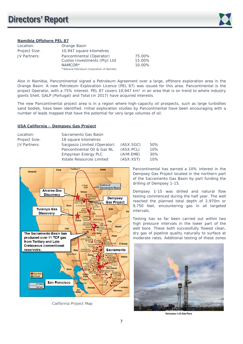

## **Namibia Offshore PEL 87**

| Location:     | Orange Basin                               |        |
|---------------|--------------------------------------------|--------|
| Project Size: | 10,947 square kilometres                   |        |
| JV Partners:  | Pancontinental (Operator)                  | 75.00% |
|               | Custos Investments (Pty) Ltd               | 15.00% |
|               | NAMCOR*                                    | 10.00% |
|               | *National Petroleum Corporation of Namibia |        |

Also in Namibia, Pancontinental signed a Petroleum Agreement over a large, offshore exploration area in the Orange Basin. A new Petroleum Exploration Licence (PEL 87) was issued for this area. Pancontinental is the project Operator, with a 75% interest. PEL 87 covers 10,947 km² in an area that is on trend to where industry giants Shell, GALP (Portugal) and Total (in 2017) have acquired interests.

The new Pancontinental project area is in a region where high-capacity oil prospects, such as large turbidites sand bodies, have been identified. Initial exploration studies by Pancontinental have been encouraging with a number of leads mapped that have the potential for very large volumes of oil.

## **USA California – Dempsey Gas Project**

| Location:     | Sacramento Gas Basin        |            |     |
|---------------|-----------------------------|------------|-----|
| Project Size: | 18 square kilometres        |            |     |
| JV Partners:  | Sacgasco Limited (Operator) | (ASK:SGC)  | 50% |
|               | Pancontinental Oil & Gas NL | (ASK: PCL) | 10% |
|               | <b>Empyrean Energy PLC</b>  | (AIM:EME)  | 30% |
|               | Xstate Resources Limited    | (ASK: XST) | 10% |



California Project Map

Pancontinental has earned a 10% interest in the Dempsey Gas Project located in the northern part of the Sacramento Gas Basin by part funding the drilling of Dempsey 1-15.

Dempsey 1-15 was drilled and natural flow testing commenced during the half year. The well reached the planned total depth of 2,970m or 9,750 feet, encountering gas in all targeted intervals.

Testing has so far been carried out within two high pressure intervals in the lower part of the well bore. These both successfully flowed clean, dry gas of pipeline quality naturally to surface at moderate rates. Additional testing of these zones



**Dempsey 1-15 Gas Flare**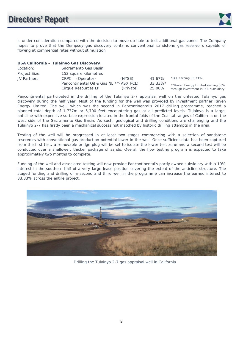

is under consideration compared with the decision to move up hole to test additional gas zones. The Company hopes to prove that the Dempsey gas discovery contains conventional sandstone gas reservoirs capable of flowing at commercial rates without stimulation.

## **USA California – Tulainyo Gas Discovery**

| Location:     | Sacramento Gas Basin                     |           |            |                                       |
|---------------|------------------------------------------|-----------|------------|---------------------------------------|
| Project Size: | 152 square kilometres                    |           |            |                                       |
| JV Partners:  | CRPC (Operator)                          | (NYSE)    | 41.67%     | *PCL earning 33.33%.                  |
|               | Pancontinental Oil & Gas NL **(ASX: PCL) |           | $33.33\%*$ | **Raven Energy Limited earning 60%    |
|               | Cirque Resources LP                      | (Private) | 25.00%     | through investment in PCL subsidiary. |

Pancontinental participated in the drilling of the Tulainyo 2-7 appraisal well on the untested Tulainyo gas discovery during the half year. Most of the funding for the well was provided by investment partner Raven Energy Limited. The well, which was the second in Pancontinental's 2017 drilling programme, reached a planned total depth of 1,737m or 5,700 feet encountering gas at all predicted levels. Tulainyo is a large, anticline with expensive surface expression located in the frontal folds of the Coastal ranges of California on the west side of the Sacramento Gas Basin. As such, geological and drilling conditions are challenging and the Tulainyo 2-7 has firstly been a mechanical success not matched by historic drilling attempts in the area.

Testing of the well will be progressed in at least two stages commencing with a selection of sandstone reservoirs with conventional gas production potential lower in the well. Once sufficient data has been captured from the first test, a removable bridge plug will be set to isolate the lower test zone and a second test will be conducted over a shallower, thicker package of sands. Overall the flow testing program is expected to take approximately two months to complete.

Funding of the well and associated testing will now provide Pancontinental's partly owned subsidiary with a 10% interest in the southern half of a very large lease position covering the extent of the anticline structure. The staged funding and drilling of a second and third well in the programme can increase the earned interest to 33.33% across the entire project.



Drilling the Tulainyo 2-7 gas appraisal well in California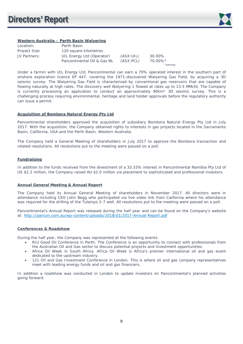

## **Western Australia – Perth Basin Walyering**

| Location:     | Perth Basin                 |            |          |
|---------------|-----------------------------|------------|----------|
| Project Size: | 120 square kilometres       |            |          |
| JV Partners:  | UIL Energy Ltd (Operator)   | (ASK: UIL) | 30.00%   |
|               | Pancontinental Oil & Gas NL | (ASX: PCL) | 70.00%*  |
|               |                             |            | *earning |

Under a farmin with UIL Energy Ltd, Pancontinental can earn a 70% operated interest in the southern part of onshore exploration licence EP 447, covering the 1971-discovered Walyering Gas Field, by acquiring a 3D seismic survey. The Walyering Gas Field is characterised by conventional gas reservoirs that are capable of flowing naturally at high rates. The discovery well Walyering-1 flowed at rates up to 13.5 MMcfd. The Company is currently processing an application to conduct an approximately 90km<sup>2</sup> 3D seismic survey. This is a challenging process requiring environmental, heritage and land holder approvals before the regulatory authority can issue a permit.

#### **Acquisition of Bombora Natural Energy Pty Ltd**

Pancontinental shareholders approved the acquisition of subsidiary Bombora Natural Energy Pty Ltd in July 2017. With the acquisition, the Company obtained rights to interests in gas projects located in the Sacramento Basin, California, USA and the Perth Basin, Western Australia.

The Company held a General Meeting of shareholders in July 2017 to approve the Bombora transaction and related resolutions. All resolutions put to the meeting were passed on a poll.

## **Fundraising**

In addition to the funds received from the divestment of a 33.33% interest in Pancontinental Namibia Pty Ltd of US \$2.2 million, the Company raised AU \$2.0 million via placement to sophisticated and professional investors.

#### **Annual General Meeting & Annual Report**

The Company held its Annual General Meeting of shareholders in November 2017. All directors were in attendance including CEO John Begg who participated via live video link from California where his attendance was required for the drilling of the Tulainyo 2-7 well. All resolutions put to the meeting were passed on a poll.

Pancontinental's Annual Report was released during the half year and can be found on the Company's website at: http://pancon.com.au/wp-content/uploads/2018/01/2017-Annual-Report.pdf

#### **Conferences & Roadshow**

During the half year, the Company was represented at the following events:

- RIU Good Oil Conference in Perth. The Conference is an opportunity to connect with professionals from the Australian Oil and Gas sector to discuss potential projects and investment opportunities.
- Africa Oil Week in South Africa. Africa Oil Week is Africa's premier international oil and gas event dedicated to the upstream industry.
- 121 Oil and Gas Investment Conference in London. This is where oil and gas company representatives meet with leading energy funds and oil and gas financiers.

In addition a roadshow was conducted in London to update investors on Pancontinental's planned activities going forward.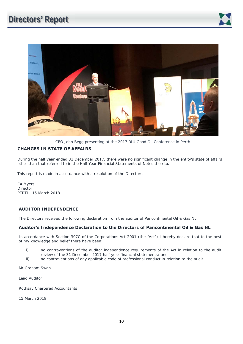

CEO John Begg presenting at the 2017 RIU Good Oil Conference in Perth.

## **CHANGES IN STATE OF AFFAIRS**

During the half year ended 31 December 2017, there were no significant change in the entity's state of affairs other than that referred to in the Half Year Financial Statements of Notes thereto.

This report is made in accordance with a resolution of the Directors.

EA Myers Director PERTH, 15 March 2018

## **AUDITOR INDEPENDENCE**

The Directors received the following declaration from the auditor of Pancontinental Oil & Gas NL:

## **Auditor's Independence Declaration to the Directors of Pancontinental Oil & Gas NL**

In accordance with Section 307C of the Corporations Act 2001 (the "Act") I hereby declare that to the best of my knowledge and belief there have been:

- i) no contraventions of the auditor independence requirements of the Act in relation to the audit review of the 31 December 2017 half year financial statements; and
- ii) no contraventions of any applicable code of professional conduct in relation to the audit.

Mr Graham Swan

Lead Auditor

Rothsay Chartered Accountants

15 March 2018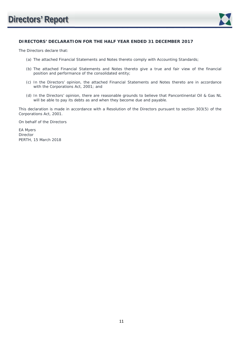

## **DIRECTORS' DECLARATION FOR THE HALF YEAR ENDED 31 DECEMBER 2017**

The Directors declare that:

- (a) The attached Financial Statements and Notes thereto comply with Accounting Standards;
- (b) The attached Financial Statements and Notes thereto give a true and fair view of the financial position and performance of the consolidated entity;
- (c) In the Directors' opinion, the attached Financial Statements and Notes thereto are in accordance with the Corporations Act, 2001; and
- (d) In the Directors' opinion, there are reasonable grounds to believe that Pancontinental Oil & Gas NL will be able to pay its debts as and when they become due and payable.

This declaration is made in accordance with a Resolution of the Directors pursuant to section 303(5) of the Corporations Act, 2001.

On behalf of the Directors

EA Myers Director PERTH, 15 March 2018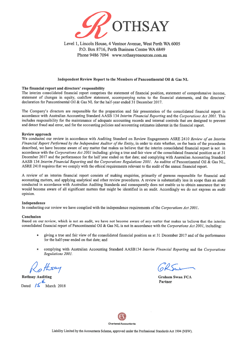

Level 1, Lincoln House, 4 Ventnor Avenue, West Perth WA 6005 P.O. Box 8716, Perth Business Centre WA 6849 Phone 9486 7094 www.rothsayresources.com.au

#### Independent Review Report to the Members of Pancontinental Oil & Gas NL

#### The financial report and directors' responsibility

The interim consolidated financial report comprises the statement of financial position, statement of comprehensive income, statement of changes in equity, cashflow statement, accompanying notes to the financial statements, and the directors' declaration for Pancontinental Oil & Gas NL for the half-year ended 31 December 2017.

The Company's directors are responsible for the preparation and fair presentation of the consolidated financial report in accordance with Australian Accounting Standard AASB 134 Interim Financial Reporting and the Corporations Act 2001. This includes responsibility for the maintenance of adequate accounting records and internal controls that are designed to prevent and detect fraud and error, and for the accounting policies and accounting estimates inherent in the financial report.

#### Review approach

We conducted our review in accordance with Auditing Standard on Review Engagements ASRE 2410 Review of an Interim Financial Report Performed by the Independent Auditor of the Entity, in order to state whether, on the basis of the procedures described, we have become aware of any matter that makes us believe that the interim consolidated financial report is not in accordance with the Corporations Act 2001 including: giving a true and fair view of the consolidated financial position as at 31 December 2017 and the performance for the half year ended on that date; and complying with Australian Accounting Standard AASB 134 Interim Financial Reporting and the Corporations Regulations 2001. As auditor of Pancontinental Oil & Gas NL, ASRE 2410 requires that we comply with the ethical requirements relevant to the audit of the annual financial report.

A review of an interim financial report consists of making enquiries, primarily of persons responsible for financial and accounting matters, and applying analytical and other review procedures. A review is substantially less in scope than an audit conducted in accordance with Australian Auditing Standards and consequently does not enable us to obtain assurance that we would become aware of all significant matters that might be identified in an audit. Accordingly we do not express an audit opinion.

#### Independence

In conducting our review we have complied with the independence requirements of the Corporations Act 2001.

#### Conclusion

Based on our review, which is not an audit, we have not become aware of any matter that makes us believe that the interim consolidated financial report of Pancontinental Oil & Gas NL is not in accordance with the Corporations Act 2001, including:

- giving a true and fair view of the consolidated financial position as at 31 December 2017 and of the performance for the half-year ended on that date; and
- complying with Australian Accounting Standard AASB134 Interim Financial Reporting and the Corporations Regulations 2001.

**Rothsay Auditing** 

**Graham Swan FCA** Partner

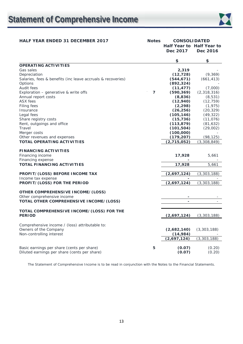

## HALF YEAR ENDED 31 DECEMBER 2017 Notes CONSOLIDATED

|                                                             |                | Dec 2017       | Half Year to Half Year to<br>Dec 2016 |
|-------------------------------------------------------------|----------------|----------------|---------------------------------------|
|                                                             |                | \$             | \$                                    |
| <b>OPERATING ACTIVITIES</b>                                 |                |                |                                       |
| Gas sales                                                   |                | 2,319          |                                       |
| Depreciation                                                |                | (12, 728)      | (9,369)                               |
| Salaries, fees & benefits (inc leave accruals & recoveries) |                | (544, 671)     | (661, 413)                            |
| Options                                                     |                | (892, 324)     |                                       |
| Audit fees                                                  |                | (11, 477)      | (7,000)                               |
| Exploration $-$ generative & write offs                     | $\overline{7}$ | (590, 369)     | (2,318,316)                           |
| Annual report costs                                         |                | (8,836)        | (8, 531)                              |
| ASX fees                                                    |                | (12, 940)      | (12, 759)                             |
| Filing fees                                                 |                | (2, 298)       | (1, 975)                              |
| Insurance                                                   |                | (26, 256)      | (20, 329)                             |
| Legal fees                                                  |                | (105, 146)     | (49, 322)                             |
| Share registry costs                                        |                | (15, 736)      | (11, 076)                             |
| Rent, outgoings and office                                  |                | (113, 879)     | (81, 632)                             |
| Travel                                                      |                | (101, 504)     | (29,002)                              |
| Merger costs                                                |                | (100,000)      |                                       |
| Other revenues and expenses                                 |                | (179, 207)     | (98, 125)                             |
| <b>TOTAL OPERATING ACTIVITIES</b>                           |                | (2,715,052)    | (3,308,849)                           |
|                                                             |                |                |                                       |
| <b>FINANCING ACTIVITIES</b>                                 |                |                |                                       |
| Financing income                                            |                | 17,928         | 5,661                                 |
| Financing expense                                           |                |                |                                       |
| <b>TOTAL FINANCING ACTIVITIES</b>                           |                | 17,928         | 5,661                                 |
| PROFIT/(LOSS) BEFORE INCOME TAX                             |                | (2,697,124)    | (3, 303, 188)                         |
| Income tax expense                                          |                |                |                                       |
| PROFIT/(LOSS) FOR THE PERIOD                                |                | (2,697,124)    | (3, 303, 188)                         |
|                                                             |                |                |                                       |
| <b>OTHER COMPREHENSIVE INCOME/(LOSS)</b>                    |                |                |                                       |
| Other comprehensive income                                  |                |                |                                       |
| TOTAL OTHER COMPREHENSIVE INCOME/(LOSS)                     |                | $\overline{a}$ |                                       |
|                                                             |                |                |                                       |
| TOTAL COMPREHENSIVE INCOME/(LOSS) FOR THE<br><b>PERIOD</b>  |                | (2,697,124)    | (3, 303, 188)                         |
|                                                             |                |                |                                       |
| Comprehensive income / (loss) attributable to:              |                |                |                                       |
| Owners of the Company                                       |                | (2,682,140)    | (3,303,188)                           |
| Non-controlling interest                                    |                | (14, 984)      |                                       |
|                                                             |                | (2,697,124)    | (3, 303, 188)                         |
|                                                             |                |                |                                       |
| Basic earnings per share (cents per share)                  | 5              | (0.07)         | (0.20)                                |
| Diluted earnings per share (cents per share)                |                | (0.07)         | (0.20)                                |

The Statement of Comprehensive Income is to be read in conjunction with the Notes to the Financial Statements.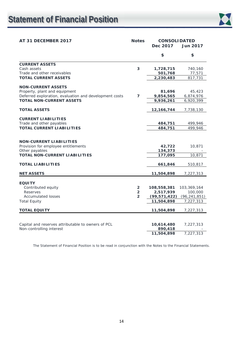

| AT 31 DECEMBER 2017                                    | <b>Notes</b>                     | <b>CONSOLIDATED</b>         |                           |  |
|--------------------------------------------------------|----------------------------------|-----------------------------|---------------------------|--|
|                                                        |                                  | Dec 2017                    | <b>Jun 2017</b>           |  |
|                                                        |                                  | \$                          | \$                        |  |
| <b>CURRENT ASSETS</b>                                  |                                  |                             |                           |  |
| Cash assets                                            | 3                                | 1,728,715                   | 740,160                   |  |
| Trade and other receivables                            |                                  | 501,768                     | 77,571                    |  |
| <b>TOTAL CURRENT ASSETS</b>                            |                                  | 2,230,483                   | 817,731                   |  |
| <b>NON-CURRENT ASSETS</b>                              |                                  |                             |                           |  |
| Property, plant and equipment                          |                                  | 81,696                      | 45,423                    |  |
| Deferred exploration, evaluation and development costs | $\overline{7}$                   | 9,854,565                   | 6,874,976                 |  |
| <b>TOTAL NON-CURRENT ASSETS</b>                        |                                  | 9,936,261                   | 6,920,399                 |  |
|                                                        |                                  |                             |                           |  |
| <b>TOTAL ASSETS</b>                                    |                                  | 12,166,744                  | 7,738,130                 |  |
| <b>CURRENT LIABILITIES</b>                             |                                  |                             |                           |  |
| Trade and other payables                               |                                  | 484,751                     | 499,946                   |  |
| <b>TOTAL CURRENT LIABILITIES</b>                       |                                  | 484,751                     | 499,946                   |  |
|                                                        |                                  |                             |                           |  |
|                                                        |                                  |                             |                           |  |
| <b>NON-CURRENT LIABILITIES</b>                         |                                  | 42,722                      |                           |  |
| Provision for employee entitlements<br>Other payables  |                                  | 134,373                     | 10,871                    |  |
| <b>TOTAL NON-CURRENT LIABILITIES</b>                   |                                  | 177,095                     | 10,871                    |  |
|                                                        |                                  |                             |                           |  |
| <b>TOTAL LIABILITIES</b>                               |                                  | 661,846                     | 510,817                   |  |
| <b>NET ASSETS</b>                                      |                                  | 11,504,898                  | 7,227,313                 |  |
|                                                        |                                  |                             |                           |  |
| <b>EQUITY</b>                                          |                                  |                             |                           |  |
| Contributed equity<br><b>Reserves</b>                  | $\overline{2}$                   | 108,558,381                 | 103,369,164               |  |
| <b>Accumulated losses</b>                              | $\overline{2}$<br>$\overline{2}$ | 2,517,939<br>(99, 571, 422) | 100,000<br>(96, 241, 851) |  |
| <b>Total Equity</b>                                    |                                  | 11,504,898                  | 7,227,313                 |  |
|                                                        |                                  |                             |                           |  |
| <b>TOTAL EQUITY</b>                                    |                                  | 11,504,898                  | 7,227,313                 |  |
|                                                        |                                  |                             |                           |  |
| Capital and reserves attributable to owners of PCL     |                                  | 10,614,480                  | 7,227,313                 |  |
| Non-controlling interest                               |                                  | 890,418                     |                           |  |
|                                                        |                                  | 11,504,898                  | 7,227,313                 |  |

The Statement of Financial Position is to be read in conjunction with the Notes to the Financial Statements.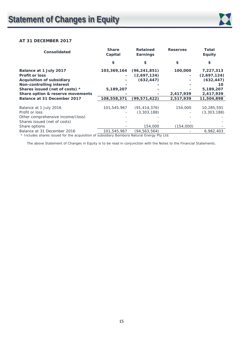

## **AT 31 DECEMBER 2017**

| <b>Share</b><br>Capital | <b>Retained</b><br>Earnings | <b>Reserves</b> | <b>Total</b><br><b>Equity</b> |
|-------------------------|-----------------------------|-----------------|-------------------------------|
| \$                      |                             | \$              | \$                            |
| 103,369,164             | (96, 241, 851)              | 100,000         | 7,227,313                     |
|                         | (2,697,124)                 |                 | (2,697,124)                   |
|                         | (632, 447)                  |                 | (632, 447)                    |
|                         |                             |                 | 10                            |
| 5,189,207               |                             |                 | 5,189,207                     |
|                         |                             | 2,417,939       | 2,417,939                     |
| 108,558,371             | (99, 571, 422)              | 2,517,939       | 11,504,898                    |
|                         |                             |                 |                               |
| 101,545,967             | (91, 414, 376)              | 154,000         | 10,285,591                    |
|                         | (3,303,188)                 |                 | (3,303,188)                   |
|                         |                             |                 |                               |
|                         |                             |                 |                               |
|                         | 154,000                     | (154,000)       |                               |
| 101,545,967             | (94,563,564)                |                 | 6,982,403                     |
|                         |                             |                 |                               |

\* Includes shares issued for the acquisition of subsidiary Bombora Natural Energy Pty Ltd.

The above Statement of Changes in Equity is to be read in conjunction with the Notes to the Financial Statements.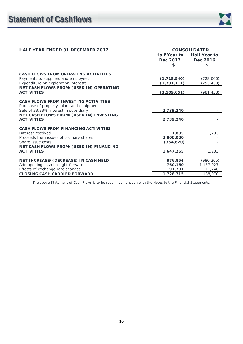| <b>HALF YEAR ENDED 31 DECEMBER 2017</b>                      | <b>CONSOLIDATED</b> |                     |
|--------------------------------------------------------------|---------------------|---------------------|
|                                                              | Half Year to        | <b>Half Year to</b> |
|                                                              | Dec 2017            | Dec 2016            |
|                                                              | \$                  | \$                  |
| CASH FLOWS FROM OPERATING ACTIVITIES                         |                     |                     |
| Payments to suppliers and employees                          | (1,718,540)         | (728,000)           |
| Expenditure on exploration interests                         | (1, 791, 111)       | (253, 438)          |
| NET CASH FLOWS FROM/(USED IN) OPERATING                      |                     |                     |
| <b>ACTIVITIES</b>                                            | (3,509,651)         | (981,438)           |
|                                                              |                     |                     |
| <b>CASH FLOWS FROM INVESTING ACTIVITIES</b>                  |                     |                     |
| Purchase of property, plant and equipment                    |                     |                     |
| Sale of 33.33% interest in subsidiary                        | 2,739,240           |                     |
| NET CASH FLOWS FROM/(USED IN) INVESTING<br><b>ACTIVITIES</b> |                     |                     |
|                                                              | 2,739,240           |                     |
| CASH FLOWS FROM FINANCING ACTIVITIES                         |                     |                     |
| Interest received                                            | 1,885               | 1,233               |
| Proceeds from issues of ordinary shares                      | 2,000,000           |                     |
| Share issue costs                                            | (354, 620)          |                     |
| NET CASH FLOWS FROM/(USED IN) FINANCING                      |                     |                     |
| <b>ACTIVITIES</b>                                            | 1,647,265           | 1,233               |
| NET INCREASE/(DECREASE) IN CASH HELD                         | 876,854             | (980, 205)          |
| Add opening cash brought forward                             | 760,160             | 1,157,927           |
| Effects of exchange rate changes                             | 91,701              | 11,248              |
| <b>CLOSING CASH CARRIED FORWARD</b>                          | 1,728,715           | 188,970             |

The above Statement of Cash Flows is to be read in conjunction with the Notes to the Financial Statements.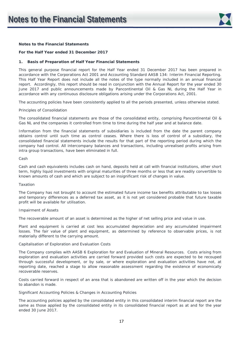

#### **Notes to the Financial Statements**

#### **For the Half Year ended 31 December 2017**

#### **1. Basis of Preparation of Half Year Financial Statements**

This general purpose financial report for the Half Year ended 31 December 2017 has been prepared in accordance with the Corporations Act 2001 and Accounting Standard AASB 134: Interim Financial Reporting. This Half Year Report does not include all the notes of the type normally included in an annual financial report. Accordingly, this report should be read in conjunction with the Annual Report for the year ended 30 June 2017 and public announcements made by Pancontinental Oil & Gas NL during the Half Year in accordance with any continuous disclosure obligations arising under the Corporations Act, 2001.

The accounting policies have been consistently applied to all the periods presented, unless otherwise stated.

#### *Principles of Consolidation*

The consolidated financial statements are those of the consolidated entity, comprising Pancontinental Oil & Gas NL and the companies it controlled from time to time during the half year and at balance date.

Information from the financial statements of subsidiaries is included from the date the parent company obtains control until such time as control ceases. Where there is loss of control of a subsidiary, the consolidated financial statements include the results for that part of the reporting period during which the company had control. All intercompany balances and transactions, including unrealised profits arising from intra group transactions, have been eliminated in full.

#### *Cash*

Cash and cash equivalents includes cash on hand, deposits held at call with financial institutions, other short term, highly liquid investments with original maturities of three months or less that are readily convertible to known amounts of cash and which are subject to an insignificant risk of changes in value.

#### *Taxation*

The Company has not brought to account the estimated future income tax benefits attributable to tax losses and temporary differences as a deferred tax asset, as it is not yet considered probable that future taxable profit will be available for utilisation.

#### *Impairment of Assets*

The recoverable amount of an asset is determined as the higher of net selling price and value in use.

Plant and equipment is carried at cost less accumulated depreciation and any accumulated impairment losses. The fair value of plant and equipment, as determined by reference to observable prices, is not materially different to the carrying amount.

#### *Capitalisation of Exploration and Evaluation Costs*

The Company complies with AASB 6 *Exploration for and Evaluation of Mineral Resources*. Costs arising from exploration and evaluation activities are carried forward provided such costs are expected to be recouped through successful development, or by sale, or where exploration and evaluation activities have not, at reporting date, reached a stage to allow reasonable assessment regarding the existence of economically recoverable reserves.

Costs carried forward in respect of an area that is abandoned are written off in the year which the decision to abandon is made.

#### *Significant Accounting Policies & Changes in Accounting Policies*

The accounting policies applied by the consolidated entity in this consolidated interim financial report are the same as those applied by the consolidated entity in its consolidated financial report as at and for the year ended 30 June 2017.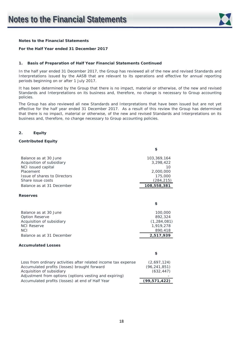

## **Notes to the Financial Statements**

#### **For the Half Year ended 31 December 2017**

#### **1. Basis of Preparation of Half Year Financial Statements Continued**

In the half year ended 31 December 2017, the Group has reviewed all of the new and revised Standards and Interpretations issued by the AASB that are relevant to its operations and effective for annual reporting periods beginning on or after 1 July 2017.

It has been determined by the Group that there is no impact, material or otherwise, of the new and revised Standards and Interpretations on its business and, therefore, no change is necessary to Group accounting policies.

The Group has also reviewed all new Standards and Interpretations that have been issued but are not yet effective for the half year ended 31 December 2017. As a result of this review the Group has determined that there is no impact, material or otherwise, of the new and revised Standards and Interpretations on its business and, therefore, no change necessary to Group accounting policies.

#### **2. Equity**

#### **Contributed Equity**

|                                                                | \$             |
|----------------------------------------------------------------|----------------|
| Balance as at 30 June                                          | 103,369,164    |
| Acquisition of subsidiary                                      | 3,298,422      |
| NCI issued capital                                             | 10             |
| Placement                                                      | 2,000,000      |
| Issue of shares to Directors                                   | 175,000        |
| Share issue costs                                              | (284,215)      |
| Balance as at 31 December                                      | 108,558,381    |
| <b>Reserves</b>                                                |                |
|                                                                | \$             |
| Balance as at 30 June                                          | 100,000        |
| Option Reserve                                                 | 892,324        |
| Acquisition of subsidiary                                      | (1, 284, 081)  |
| <b>NCI Reserve</b>                                             | 1,919,278      |
| <b>NCI</b>                                                     | 890,418        |
| Balance as at 31 December                                      | 2,517,939      |
| <b>Accumulated Losses</b>                                      |                |
|                                                                | \$             |
| Loss from ordinary activities after related income tax expense | (2,697,124)    |
| Accumulated profits (losses) brought forward                   | (96, 241, 851) |
| Acquisition of subsidiary                                      | (632, 447)     |
| Adjustment from options (options vesting and expiring)         |                |
| Accumulated profits (losses) at end of Half Year               | (99, 571, 422) |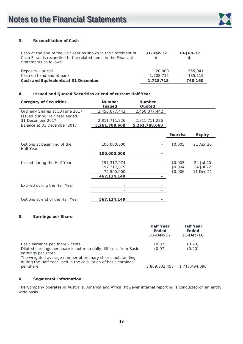

## **3. Reconciliation of Cash**

| Cash at the end of the Half Year as shown in the Statement of<br>Cash Flows is reconciled to the related items in the Financial<br>Statements as follows: | $31 - Dec-17$<br>\$ | 30-Jun-17          |
|-----------------------------------------------------------------------------------------------------------------------------------------------------------|---------------------|--------------------|
| Deposits – at call<br>Cash on hand and at bank                                                                                                            | 20,000<br>1,708,715 | 555,041<br>185,119 |
| Cash and Equivalents at 31 December                                                                                                                       | 1,728,715           | 740,160            |

## **4. Issued and Quoted Securities at end of current Half Year**

| <b>Category of Securities</b>                     | <b>Number</b><br><b>Issued</b> | <b>Number</b><br>Quoted |                    |                        |
|---------------------------------------------------|--------------------------------|-------------------------|--------------------|------------------------|
| Ordinary Shares at 30 June 2017                   | 2,450,077,442                  | 2,450,077,442           |                    |                        |
| Issued during Half Year ended<br>31 December 2017 | 2,811,711,226                  | 2,811,711,226           |                    |                        |
| Balance at 31 December 2017                       | 5,261,788,668                  | 5,261,788,668           |                    |                        |
|                                                   |                                |                         | <b>Exercise</b>    | <b>Expiry</b>          |
| Options at beginning of the<br>Half Year          | 100,000,000                    |                         | \$0.005            | 21 Apr 20              |
|                                                   | 100,000,000                    |                         |                    |                        |
| Issued during the Half Year                       | 197,317,074<br>197,317,075     |                         | \$0.005<br>\$0.004 | 24 Jul 20<br>24 Jul 22 |
|                                                   | 72,500,000                     |                         | \$0.006            | 11 Dec 21              |
|                                                   | 467, 134, 149                  |                         |                    |                        |
| Expired during the Half Year                      |                                |                         |                    |                        |
|                                                   |                                |                         |                    |                        |
| Options at end of the Half Year                   | 567,134,149                    |                         |                    |                        |

## **5. Earnings per Share**

|                                                                                                                                                                                                                                                             | <b>Half Year</b><br><b>Ended</b><br>31-Dec-17 | <b>Half Year</b><br><b>Ended</b><br>31-Dec-16 |
|-------------------------------------------------------------------------------------------------------------------------------------------------------------------------------------------------------------------------------------------------------------|-----------------------------------------------|-----------------------------------------------|
| Basic earnings per share - cents<br>Diluted earnings per share is not materially different from Basic<br>earnings per share<br>The weighted average number of ordinary shares outstanding<br>during the Half Year used in the calculation of basic earnings | (0.07)<br>(0.07)                              | (0.20)<br>(0.20)                              |
| per share                                                                                                                                                                                                                                                   |                                               | 3,869,802,453 1,717,494,096                   |

## **6. Segmental Information**

The Company operates in Australia, America and Africa, however internal reporting is conducted on an entity wide basis.